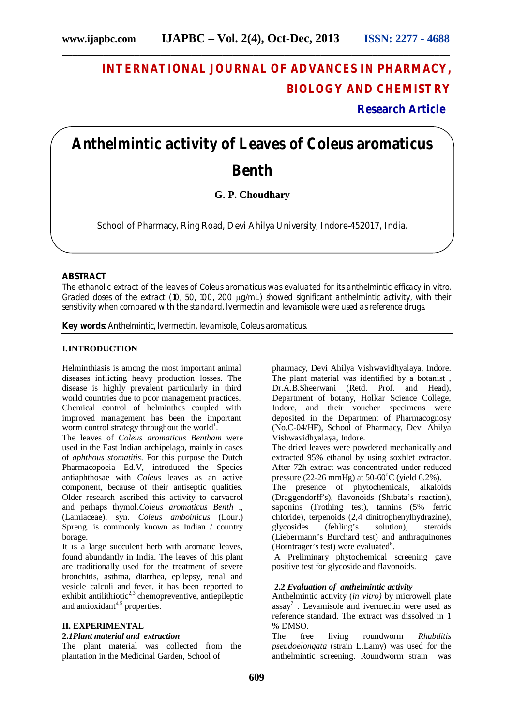# **INTERNATIONAL JOURNAL OF ADVANCES IN PHARMACY, BIOLOGY AND CHEMISTRY**

 **Research Article**

# **Anthelmintic activity of Leaves of** *Coleus aromaticus*  **Benth**

**G. P. Choudhary** 

School of Pharmacy, Ring Road, Devi Ahilya University, Indore-452017, India.

### **ABSTRACT**

The ethanolic extract of the leaves of *Coleus aromaticus* was evaluated for its anthelmintic efficacy *in vitro.*  Graded doses of the extract (10, 50, 100, 200  $\mu q/mL$ ) showed significant anthelmintic activity, with their sensitivity when compared with the standard. Ivermectin and levamisole were used as reference drugs.

**Key words**: Anthelmintic, Ivermectin, levamisole, *Coleus aromaticus*.

### **I.INTRODUCTION**

Helminthiasis is among the most important animal diseases inflicting heavy production losses. The disease is highly prevalent particularly in third world countries due to poor management practices. Chemical control of helminthes coupled with improved management has been the important worm control strategy throughout the world<sup>1</sup>.

The leaves of *Coleus aromaticus Bentham* were used in the East Indian archipelago, mainly in cases of *aphthous stomatitis*. For this purpose the Dutch Pharmacopoeia Ed.V, introduced the Species antiaphthosae with *Coleus* leaves as an active component, because of their antiseptic qualities. Older research ascribed this activity to carvacrol and perhaps thymol.*Coleus aromaticus Benth* ., (Lamiaceae), syn. *Coleus amboinicus* (Lour.) Spreng. is commonly known as Indian / country borage.

It is a large succulent herb with aromatic leaves, found abundantly in India. The leaves of this plant are traditionally used for the treatment of severe bronchitis, asthma, diarrhea, epilepsy, renal and vesicle calculi and fever, it has been reported to exhibit antilithiotic<sup>2,3</sup> chemopreventive, antiepileptic and antioxidant $4,5$  properties.

#### **II. EXPERIMENTAL**

#### **2.***1Plant material and extraction*

The plant material was collected from the plantation in the Medicinal Garden, School of

pharmacy, Devi Ahilya Vishwavidhyalaya, Indore. The plant material was identified by a botanist , Dr.A.B.Sheerwani (Retd. Prof. and Head), Department of botany, Holkar Science College, Indore, and their voucher specimens were deposited in the Department of Pharmacognosy (No.C-04/HF), School of Pharmacy, Devi Ahilya Vishwavidhyalaya, Indore.

The dried leaves were powdered mechanically and extracted 95% ethanol by using soxhlet extractor. After 72h extract was concentrated under reduced pressure (22-26 mmHg) at  $50-60^{\circ}$ C (yield 6.2%).

The presence of phytochemicals, alkaloids (Draggendorff's), flavonoids (Shibata's reaction), saponins (Frothing test), tannins (5% ferric chloride), terpenoids (2,4 dinitrophenylhydrazine), glycosides (fehling's solution), steroids (Liebermann's Burchard test) and anthraquinones (Borntrager's test) were evaluated<sup>6</sup>.

A Preliminary phytochemical screening gave positive test for glycoside and flavonoids.

#### **2.2** *Evaluation of anthelmintic activity*

Anthelmintic activity (*in vitro)* by microwell plate assay<sup>7</sup> . Levamisole and ivermectin were used as reference standard. The extract was dissolved in 1 % DMSO.<br>The fre

free living roundworm *Rhabditis pseudoelongata* (strain L.Lamy) was used for the anthelmintic screening. Roundworm strain was